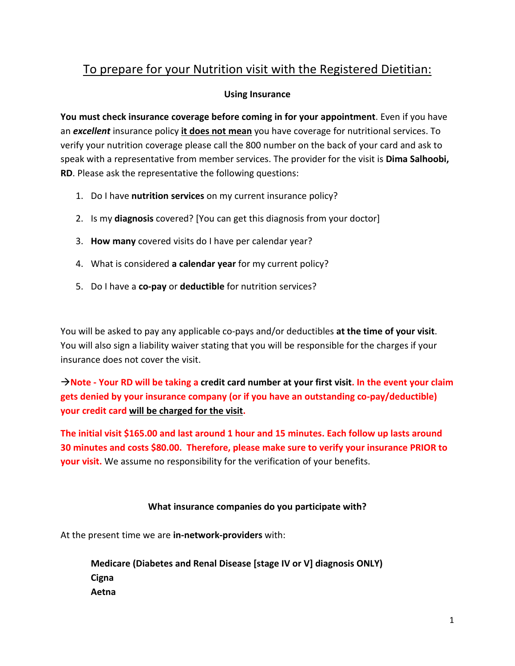# To prepare for your Nutrition visit with the Registered Dietitian:

## **Using Insurance**

**You must check insurance coverage before coming in for your appointment**. Even if you have an *excellent* insurance policy **it does not mean** you have coverage for nutritional services. To verify your nutrition coverage please call the 800 number on the back of your card and ask to speak with a representative from member services. The provider for the visit is **Dima Salhoobi, RD**. Please ask the representative the following questions:

- 1. Do I have **nutrition services** on my current insurance policy?
- 2. Is my **diagnosis** covered? [You can get this diagnosis from your doctor]
- 3. **How many** covered visits do I have per calendar year?
- 4. What is considered **a calendar year** for my current policy?
- 5. Do I have a **co-pay** or **deductible** for nutrition services?

You will be asked to pay any applicable co-pays and/or deductibles **at the time of your visit**. You will also sign a liability waiver stating that you will be responsible for the charges if your insurance does not cover the visit.

 $\rightarrow$  Note - Your RD will be taking a credit card number at your first visit. In the event your claim **gets denied by your insurance company (or if you have an outstanding co-pay/deductible) your credit card will be charged for the visit.**

**The initial visit \$165.00 and last around 1 hour and 15 minutes. Each follow up lasts around 30 minutes and costs \$80.00. Therefore, please make sure to verify your insurance PRIOR to your visit.** We assume no responsibility for the verification of your benefits.

## **What insurance companies do you participate with?**

At the present time we are **in-network-providers** with:

**Medicare (Diabetes and Renal Disease [stage IV or V] diagnosis ONLY) Cigna Aetna**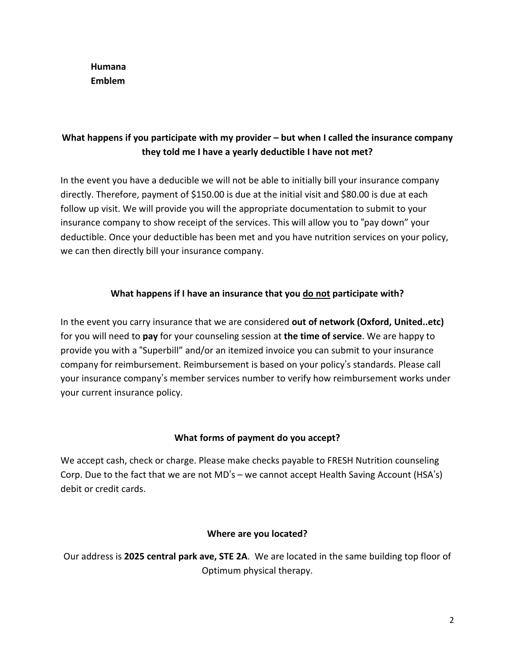**Humana Emblem**

# **What happens if you participate with my provider – but when I called the insurance company they told me I have a yearly deductible I have not met?**

In the event you have a deducible we will not be able to initially bill your insurance company directly. Therefore, payment of \$150.00 is due at the initial visit and \$80.00 is due at each follow up visit. We will provide you will the appropriate documentation to submit to your insurance company to show receipt of the services. This will allow you to "pay down" your deductible. Once your deductible has been met and you have nutrition services on your policy, we can then directly bill your insurance company.

# **What happens if I have an insurance that you do not participate with?**

In the event you carry insurance that we are considered **out of network (Oxford, United..etc)** for you will need to **pay** for your counseling session at **the time of service**. We are happy to provide you with a "Superbill" and/or an itemized invoice you can submit to your insurance company for reimbursement. Reimbursement is based on your policy's standards. Please call your insurance company's member services number to verify how reimbursement works under your current insurance policy.

## **What forms of payment do you accept?**

We accept cash, check or charge. Please make checks payable to FRESH Nutrition counseling Corp. Due to the fact that we are not MD's – we cannot accept Health Saving Account (HSA's) debit or credit cards.

## **Where are you located?**

Our address is **2025 central park ave, STE 2A**. We are located in the same building top floor of Optimum physical therapy.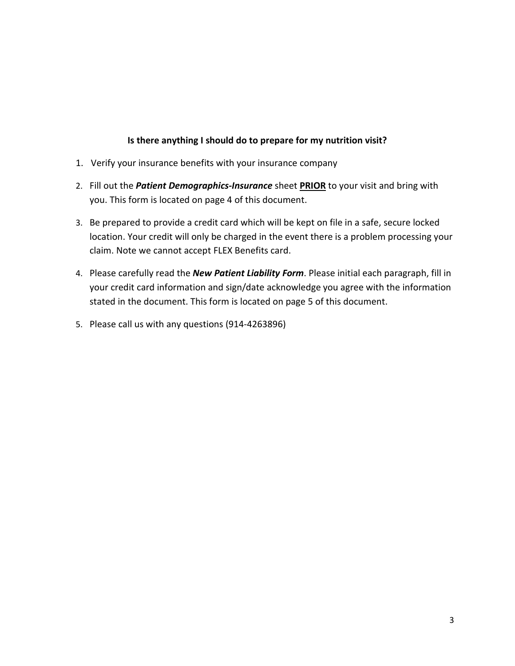#### **Is there anything I should do to prepare for my nutrition visit?**

- 1. Verify your insurance benefits with your insurance company
- 2. Fill out the *Patient Demographics-Insurance* sheet **PRIOR** to your visit and bring with you. This form is located on page 4 of this document.
- 3. Be prepared to provide a credit card which will be kept on file in a safe, secure locked location. Your credit will only be charged in the event there is a problem processing your claim. Note we cannot accept FLEX Benefits card.
- 4. Please carefully read the *New Patient Liability Form*. Please initial each paragraph, fill in your credit card information and sign/date acknowledge you agree with the information stated in the document. This form is located on page 5 of this document.
- 5. Please call us with any questions (914-4263896)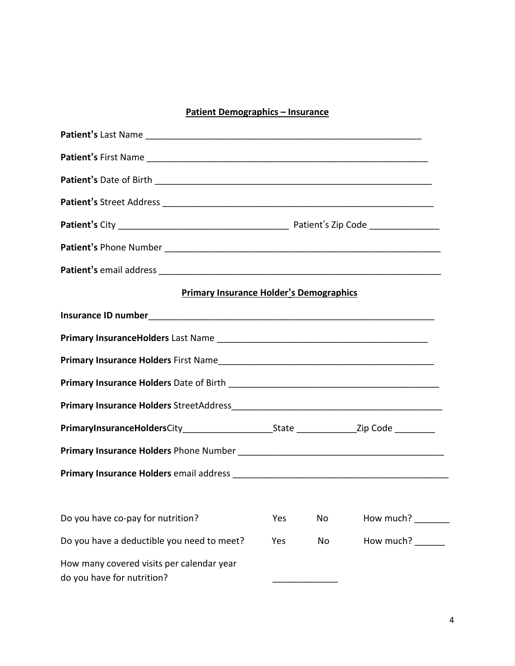# **Patient Demographics – Insurance**

| <b>Primary Insurance Holder's Demographics</b>                          |     |    |                  |  |  |
|-------------------------------------------------------------------------|-----|----|------------------|--|--|
|                                                                         |     |    |                  |  |  |
|                                                                         |     |    |                  |  |  |
|                                                                         |     |    |                  |  |  |
|                                                                         |     |    |                  |  |  |
|                                                                         |     |    |                  |  |  |
|                                                                         |     |    |                  |  |  |
|                                                                         |     |    |                  |  |  |
|                                                                         |     |    |                  |  |  |
|                                                                         |     |    |                  |  |  |
| Do you have co-pay for nutrition?                                       | Yes | No | How much?        |  |  |
| Do you have a deductible you need to meet?                              | Yes | No | How much? ______ |  |  |
| How many covered visits per calendar year<br>do you have for nutrition? |     |    |                  |  |  |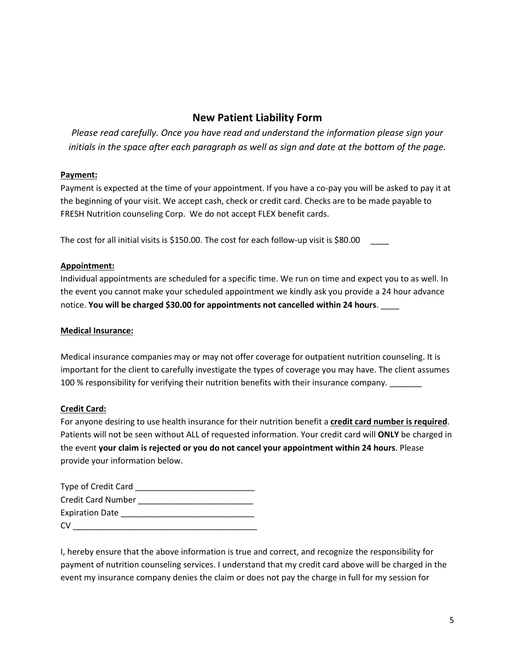# **New Patient Liability Form**

*Please read carefully. Once you have read and understand the information please sign your* initials in the space after each paragraph as well as sign and date at the bottom of the page.

#### **Payment:**

Payment is expected at the time of your appointment. If you have a co-pay you will be asked to pay it at the beginning of your visit. We accept cash, check or credit card. Checks are to be made payable to FRESH Nutrition counseling Corp. We do not accept FLEX benefit cards.

The cost for all initial visits is \$150.00. The cost for each follow-up visit is \$80.00

#### **Appointment:**

Individual appointments are scheduled for a specific time. We run on time and expect you to as well. In the event you cannot make your scheduled appointment we kindly ask you provide a 24 hour advance notice. **You will be charged \$30.00 for appointments not cancelled within 24 hours**. \_\_\_\_

#### **Medical Insurance:**

Medical insurance companies may or may not offer coverage for outpatient nutrition counseling. It is important for the client to carefully investigate the types of coverage you may have. The client assumes 100 % responsibility for verifying their nutrition benefits with their insurance company.

#### **Credit Card:**

For anyone desiring to use health insurance for their nutrition benefit a **credit card number is required**. Patients will not be seen without ALL of requested information. Your credit card will **ONLY** be charged in the event **your claim is rejected or you do not cancel your appointment within 24 hours**. Please provide your information below.

| <b>Type of Credit Card</b> |  |
|----------------------------|--|
| <b>Credit Card Number</b>  |  |
| <b>Expiration Date</b>     |  |
| CV                         |  |

I, hereby ensure that the above information is true and correct, and recognize the responsibility for payment of nutrition counseling services. I understand that my credit card above will be charged in the event my insurance company denies the claim or does not pay the charge in full for my session for